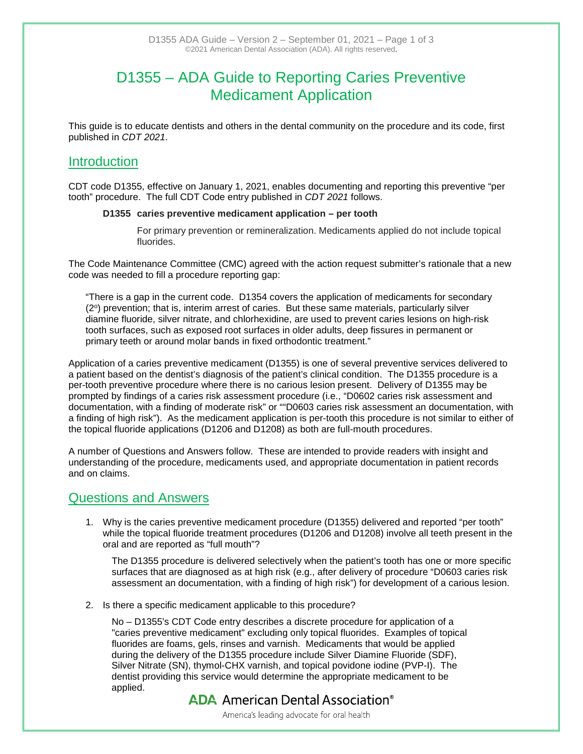# D1355 – ADA Guide to Reporting Caries Preventive Medicament Application

This guide is to educate dentists and others in the dental community on the procedure and its code, first published in *CDT 2021*.

### **Introduction**

CDT code D1355, effective on January 1, 2021, enables documenting and reporting this preventive "per tooth" procedure. The full CDT Code entry published in *CDT 2021* follows.

### **D1355 caries preventive medicament application – per tooth**

For primary prevention or remineralization. Medicaments applied do not include topical fluorides.

The Code Maintenance Committee (CMC) agreed with the action request submitter's rationale that a new code was needed to fill a procedure reporting gap:

"There is a gap in the current code. D1354 covers the application of medicaments for secondary (2<sup>o</sup>) prevention; that is, interim arrest of caries. But these same materials, particularly silver diamine fluoride, silver nitrate, and chlorhexidine, are used to prevent caries lesions on high-risk tooth surfaces, such as exposed root surfaces in older adults, deep fissures in permanent or primary teeth or around molar bands in fixed orthodontic treatment."

Application of a caries preventive medicament (D1355) is one of several preventive services delivered to a patient based on the dentist's diagnosis of the patient's clinical condition. The D1355 procedure is a per-tooth preventive procedure where there is no carious lesion present. Delivery of D1355 may be prompted by findings of a caries risk assessment procedure (i.e., "D0602 caries risk assessment and documentation, with a finding of moderate risk" or ""D0603 caries risk assessment an documentation, with a finding of high risk"). As the medicament application is per-tooth this procedure is not similar to either of the topical fluoride applications (D1206 and D1208) as both are full-mouth procedures.

A number of Questions and Answers follow. These are intended to provide readers with insight and understanding of the procedure, medicaments used, and appropriate documentation in patient records and on claims.

### Questions and Answers

1. Why is the caries preventive medicament procedure (D1355) delivered and reported "per tooth" while the topical fluoride treatment procedures (D1206 and D1208) involve all teeth present in the oral and are reported as "full mouth"?

The D1355 procedure is delivered selectively when the patient's tooth has one or more specific surfaces that are diagnosed as at high risk (e.g., after delivery of procedure "D0603 caries risk assessment an documentation, with a finding of high risk") for development of a carious lesion.

2. Is there a specific medicament applicable to this procedure?

No – D1355's CDT Code entry describes a discrete procedure for application of a "caries preventive medicament" excluding only topical fluorides. Examples of topical fluorides are foams, gels, rinses and varnish. Medicaments that would be applied during the delivery of the D1355 procedure include Silver Diamine Fluoride (SDF), Silver Nitrate (SN), thymol-CHX varnish, and topical povidone iodine (PVP-I). The dentist providing this service would determine the appropriate medicament to be applied.

## **ADA** American Dental Association<sup>®</sup>

America's leading advocate for oral health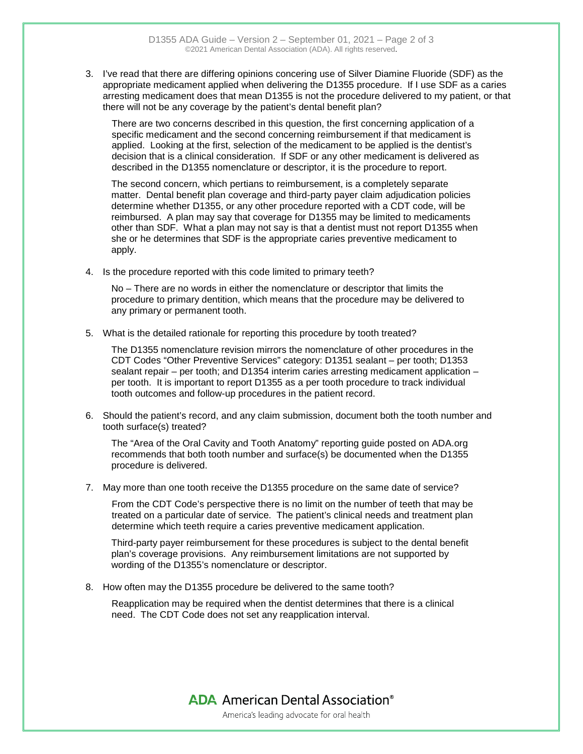3. I've read that there are differing opinions concering use of Silver Diamine Fluoride (SDF) as the appropriate medicament applied when delivering the D1355 procedure. If I use SDF as a caries arresting medicament does that mean D1355 is not the procedure delivered to my patient, or that there will not be any coverage by the patient's dental benefit plan?

There are two concerns described in this question, the first concerning application of a specific medicament and the second concerning reimbursement if that medicament is applied. Looking at the first, selection of the medicament to be applied is the dentist's decision that is a clinical consideration. If SDF or any other medicament is delivered as described in the D1355 nomenclature or descriptor, it is the procedure to report.

The second concern, which pertians to reimbursement, is a completely separate matter. Dental benefit plan coverage and third-party payer claim adjudication policies determine whether D1355, or any other procedure reported with a CDT code, will be reimbursed. A plan may say that coverage for D1355 may be limited to medicaments other than SDF. What a plan may not say is that a dentist must not report D1355 when she or he determines that SDF is the appropriate caries preventive medicament to apply.

4. Is the procedure reported with this code limited to primary teeth?

No – There are no words in either the nomenclature or descriptor that limits the procedure to primary dentition, which means that the procedure may be delivered to any primary or permanent tooth.

5. What is the detailed rationale for reporting this procedure by tooth treated?

The D1355 nomenclature revision mirrors the nomenclature of other procedures in the CDT Codes "Other Preventive Services" category: D1351 sealant – per tooth; D1353 sealant repair – per tooth; and D1354 interim caries arresting medicament application – per tooth. It is important to report D1355 as a per tooth procedure to track individual tooth outcomes and follow-up procedures in the patient record.

6. Should the patient's record, and any claim submission, document both the tooth number and tooth surface(s) treated?

The "Area of the Oral Cavity and Tooth Anatomy" reporting guide posted on ADA.org recommends that both tooth number and surface(s) be documented when the D1355 procedure is delivered.

7. May more than one tooth receive the D1355 procedure on the same date of service?

From the CDT Code's perspective there is no limit on the number of teeth that may be treated on a particular date of service. The patient's clinical needs and treatment plan determine which teeth require a caries preventive medicament application.

Third-party payer reimbursement for these procedures is subject to the dental benefit plan's coverage provisions. Any reimbursement limitations are not supported by wording of the D1355's nomenclature or descriptor.

8. How often may the D1355 procedure be delivered to the same tooth?

Reapplication may be required when the dentist determines that there is a clinical need. The CDT Code does not set any reapplication interval.